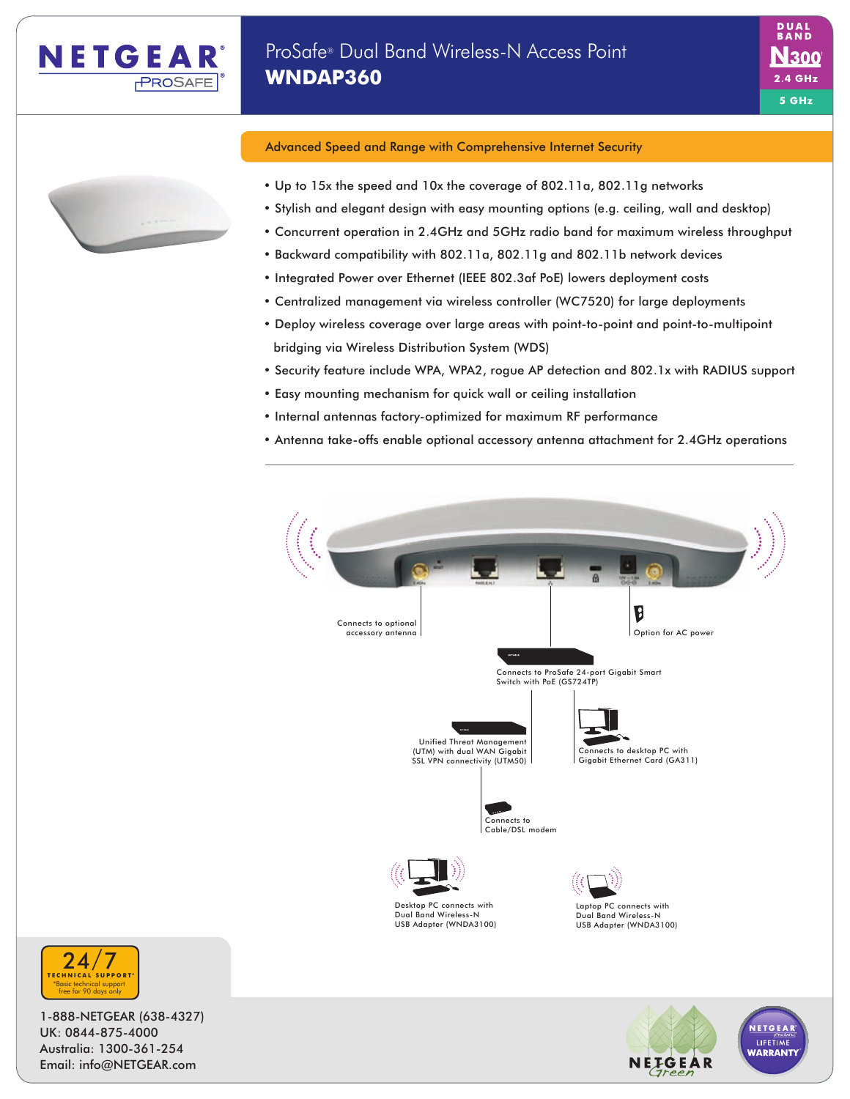



## Advanced Speed and Range with Comprehensive Internet Security

- Up to 15x the speed and 10x the coverage of 802.11a, 802.11g networks
- Stylish and elegant design with easy mounting options (e.g. ceiling, wall and desktop)
- Concurrent operation in 2.4GHz and 5GHz radio band for maximum wireless throughput
- Backward compatibility with 802.11a, 802.11g and 802.11b network devices
- Integrated Power over Ethernet (IEEE 802.3af PoE) lowers deployment costs
- Centralized management via wireless controller (WC7520) for large deployments
- Deploy wireless coverage over large areas with point-to-point and point-to-multipoint bridging via Wireless Distribution System (WDS)
- Security feature include WPA, WPA2, rogue AP detection and 802.1x with RADIUS support
- Easy mounting mechanism for quick wall or ceiling installation
- Internal antennas factory-optimized for maximum RF performance
- Antenna take-offs enable optional accessory antenna attachment for 2.4GHz operations





1-888-NETGEAR (638-4327) UK: 0844-875-4000 Australia: 1300-361-254 Email: info@NETGEAR.com



\*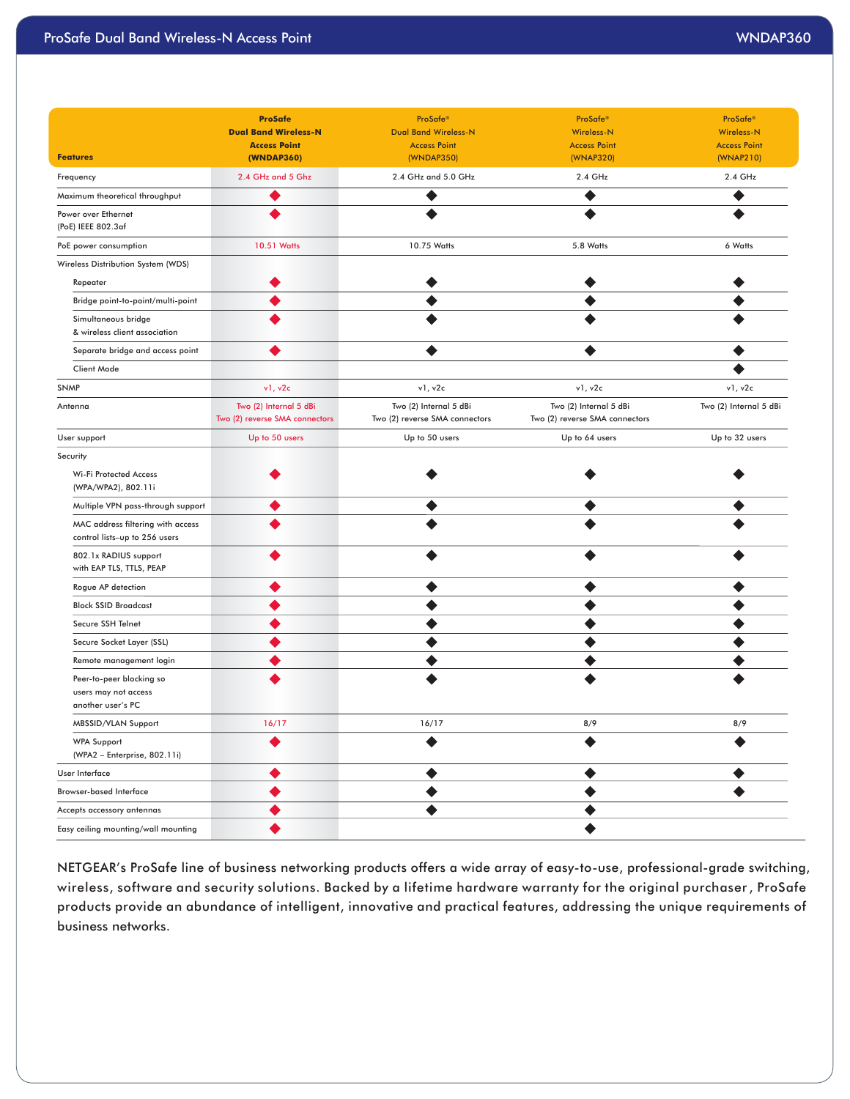|                                                                       | <b>ProSafe</b>                  | <b>ProSafe®</b>                   | ProSafe®                       | ProSafe®               |
|-----------------------------------------------------------------------|---------------------------------|-----------------------------------|--------------------------------|------------------------|
|                                                                       | <b>Dual Band Wireless-N</b>     | <b>Dual Band Wireless-N</b>       | Wireless-N                     | <b>Wireless-N</b>      |
| <b>Features</b>                                                       | <b>Access Point</b>             | <b>Access Point</b>               | <b>Access Point</b>            | <b>Access Point</b>    |
|                                                                       | (WNDAP360)<br>2.4 GHz and 5 Ghz | (WNDAP350)<br>2.4 GHz and 5.0 GHz | (WNAP320)                      | (WNAP210)              |
| Frequency                                                             |                                 |                                   | 2.4 GHz                        | 2.4 GHz                |
| Maximum theoretical throughput                                        | $\bullet$                       | ◉                                 | $\bullet$                      | ◉                      |
| Power over Ethernet<br>(PoE) IEEE 802.3af                             | $\bullet$                       | ◉                                 | $\bullet$                      | $\bullet$              |
| PoE power consumption                                                 | 10.51 Watts                     | 10.75 Watts                       | 5.8 Watts                      | 6 Watts                |
| Wireless Distribution System (WDS)                                    |                                 |                                   |                                |                        |
| Repeater                                                              | ◉                               | ◉                                 | $\bullet$                      | $\bullet$              |
| Bridge point-to-point/multi-point                                     | ◉                               | $\bullet$                         | $\bullet$                      | $\bullet$              |
| Simultaneous bridge<br>& wireless client association                  | $\bullet$                       | $\bullet$                         | $\bullet$                      | ◉                      |
| Separate bridge and access point                                      | ◉                               | $\bullet$                         | $\bullet$                      | $\bullet$              |
| Client Mode                                                           |                                 |                                   |                                | $\bullet$              |
| <b>SNMP</b>                                                           | v1, v2c                         | v1, v2c                           | v1, v2c                        | v1, v2c                |
| Antenna                                                               | Two (2) Internal 5 dBi          | Two (2) Internal 5 dBi            | Two (2) Internal 5 dBi         | Two (2) Internal 5 dBi |
|                                                                       | Two (2) reverse SMA connectors  | Two (2) reverse SMA connectors    | Two (2) reverse SMA connectors |                        |
| User support                                                          | Up to 50 users                  | Up to 50 users                    | Up to 64 users                 | Up to 32 users         |
| Security                                                              |                                 |                                   |                                |                        |
| Wi-Fi Protected Access<br>(WPA/WPA2), 802.11i                         | ◉                               | ◉                                 | $\bullet$                      | ◉                      |
| Multiple VPN pass-through support                                     | ◉                               | $\bullet$                         | $\bullet$                      | $\bullet$              |
| MAC address filtering with access<br>control lists-up to 256 users    | ◉                               | $\bullet$                         | $\bullet$                      | ◉                      |
| 802.1x RADIUS support<br>with EAP TLS, TTLS, PEAP                     | $\bullet$                       | $\bullet$                         | $\bullet$                      | $\bullet$              |
| Rogue AP detection                                                    | $\bullet$                       | $\bullet$                         | $\bullet$                      | $\bullet$              |
| <b>Block SSID Broadcast</b>                                           | $\bullet$                       | ◉                                 | $\bullet$                      | ◉                      |
| Secure SSH Telnet                                                     | $\bullet$                       | $\bullet$                         | $\bullet$                      | $\bullet$              |
| Secure Socket Layer (SSL)                                             | ◉                               | $\bullet$                         | $\bullet$                      | $\bullet$              |
| Remote management login                                               | $\bullet$                       | $\bullet$                         | $\bullet$                      | $\bullet$              |
|                                                                       | ◉                               |                                   |                                | $\bullet$              |
| Peer-to-peer blocking so<br>users may not access<br>another user's PC |                                 | ◉                                 | $\bullet$                      |                        |
| MBSSID/VLAN Support                                                   | 16/17                           | 16/17                             | 8/9                            | 8/9                    |
| <b>WPA Support</b><br>(WPA2 - Enterprise, 802.11i)                    | $\bullet$                       | $\bullet$                         | $\bullet$                      | $\bullet$              |
| User Interface                                                        | $\bullet$                       | $\bullet$                         | $\bullet$                      | ◉                      |
| <b>Browser-based Interface</b>                                        | $\bullet$                       | $\bullet$                         | $\bullet$                      | $\bullet$              |
| Accepts accessory antennas                                            | $\bullet$                       | $\bullet$                         | $\bullet$                      |                        |
| Easy ceiling mounting/wall mounting                                   | $\bullet$                       |                                   | $\bullet$                      |                        |

NETGEAR's ProSafe line of business networking products offers a wide array of easy-to-use, professional-grade switching, wireless, software and security solutions. Backed by a lifetime hardware warranty for the original purchaser , ProSafe products provide an abundance of intelligent, innovative and practical features, addressing the unique requirements of business networks.